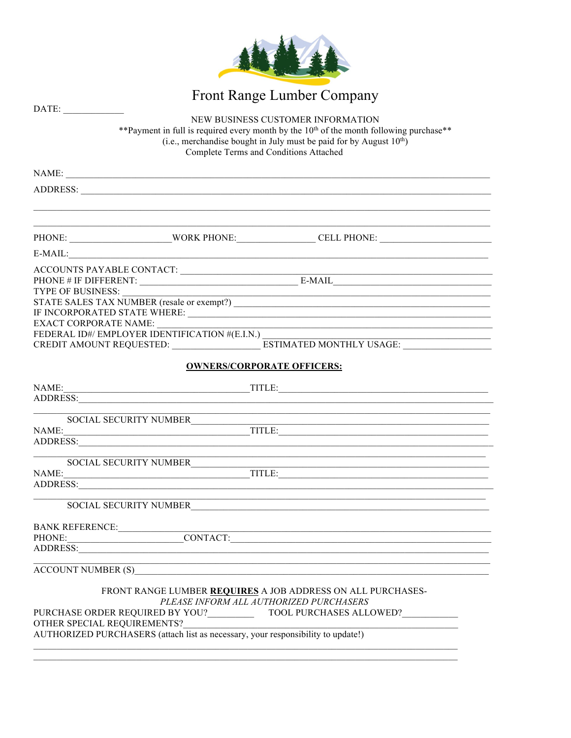

|                                                                                                                                                                                                                                                                                 | Front Range Lumber Company                                                                                                                                                                                                     |  |  |  |  |  |
|---------------------------------------------------------------------------------------------------------------------------------------------------------------------------------------------------------------------------------------------------------------------------------|--------------------------------------------------------------------------------------------------------------------------------------------------------------------------------------------------------------------------------|--|--|--|--|--|
| DATE:<br>NEW BUSINESS CUSTOMER INFORMATION<br>** Payment in full is required every month by the 10 <sup>th</sup> of the month following purchase**<br>(i.e., merchandise bought in July must be paid for by August 10 <sup>th</sup> )<br>Complete Terms and Conditions Attached |                                                                                                                                                                                                                                |  |  |  |  |  |
|                                                                                                                                                                                                                                                                                 | NAME:                                                                                                                                                                                                                          |  |  |  |  |  |
|                                                                                                                                                                                                                                                                                 |                                                                                                                                                                                                                                |  |  |  |  |  |
|                                                                                                                                                                                                                                                                                 |                                                                                                                                                                                                                                |  |  |  |  |  |
|                                                                                                                                                                                                                                                                                 | $E-MAIL:$                                                                                                                                                                                                                      |  |  |  |  |  |
|                                                                                                                                                                                                                                                                                 |                                                                                                                                                                                                                                |  |  |  |  |  |
| TYPE OF BUSINESS:<br>EXACT CORPORATE NAME:                                                                                                                                                                                                                                      | <u> 1989 - Johann Barn, amerikansk politiker (d. 1989)</u><br>FEDERAL ID#/ EMPLOYER IDENTIFICATION #(E.I.N.)<br>CREDIT AMOUNT REQUESTED: ___________________________ESTIMATED MONTHLY USAGE: _________________________________ |  |  |  |  |  |
|                                                                                                                                                                                                                                                                                 | <b>OWNERS/CORPORATE OFFICERS:</b>                                                                                                                                                                                              |  |  |  |  |  |
| NAME:                                                                                                                                                                                                                                                                           | $\blacksquare$ TITLE: $\blacksquare$ TITLE: $\blacksquare$ TITLE: $\blacksquare$<br>ADDRESS:                                                                                                                                   |  |  |  |  |  |
|                                                                                                                                                                                                                                                                                 |                                                                                                                                                                                                                                |  |  |  |  |  |
|                                                                                                                                                                                                                                                                                 | ADDRESS: New York Contract the Contract of the Contract of the Contract of the Contract of the Contract of the Contract of the Contract of the Contract of the Contract of the Contract of the Contract of the Contract of the |  |  |  |  |  |
|                                                                                                                                                                                                                                                                                 | SOCIAL SECURITY NUMBER<br>NAME: TITLE: TITLE:<br>ADDRESS:                                                                                                                                                                      |  |  |  |  |  |
|                                                                                                                                                                                                                                                                                 | SOCIAL SECURITY NUMBER<br><u> 1980 - Jan James James James James James James James James James James James James James James James James J</u>                                                                                 |  |  |  |  |  |
|                                                                                                                                                                                                                                                                                 |                                                                                                                                                                                                                                |  |  |  |  |  |
|                                                                                                                                                                                                                                                                                 | ,我们也不能在这里的时候,我们也不能在这里的时候,我们也不能会在这里的时候,我们也不能会在这里的时候,我们也不能会在这里的时候,我们也不能会在这里的时候,我们也<br>ACCOUNT NUMBER (S)                                                                                                                         |  |  |  |  |  |
|                                                                                                                                                                                                                                                                                 | FRONT RANGE LUMBER REQUIRES A JOB ADDRESS ON ALL PURCHASES-<br>PLEASE INFORM ALL AUTHORIZED PURCHASERS<br>OTHER SPECIAL REQUIREMENTS?<br>AUTHORIZED PURCHASERS (attach list as necessary, your responsibility to update!)      |  |  |  |  |  |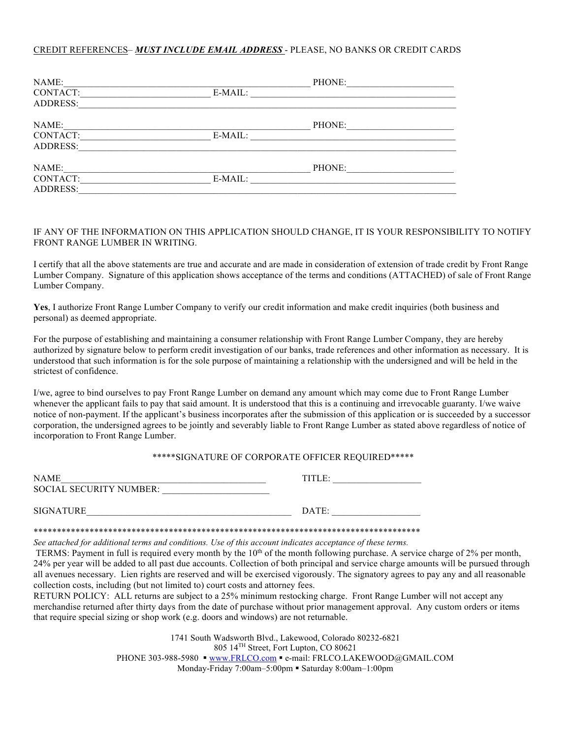### CREDIT REFERENCES– *MUST INCLUDE EMAIL ADDRESS* - PLEASE, NO BANKS OR CREDIT CARDS

| NAME:           |         | PHONE: |  |
|-----------------|---------|--------|--|
| CONTACT:        | E-MAIL: |        |  |
| <b>ADDRESS:</b> |         |        |  |
| NAME:           |         | PHONE: |  |
| CONTACT:        | E-MAIL: |        |  |
| ADDRESS:        |         |        |  |
| NAME:           |         | PHONE: |  |
| CONTACT:        | E-MAIL: |        |  |
| <b>ADDRESS:</b> |         |        |  |

## IF ANY OF THE INFORMATION ON THIS APPLICATION SHOULD CHANGE, IT IS YOUR RESPONSIBILITY TO NOTIFY FRONT RANGE LUMBER IN WRITING.

I certify that all the above statements are true and accurate and are made in consideration of extension of trade credit by Front Range Lumber Company. Signature of this application shows acceptance of the terms and conditions (ATTACHED) of sale of Front Range Lumber Company.

**Yes**, I authorize Front Range Lumber Company to verify our credit information and make credit inquiries (both business and personal) as deemed appropriate.

For the purpose of establishing and maintaining a consumer relationship with Front Range Lumber Company, they are hereby authorized by signature below to perform credit investigation of our banks, trade references and other information as necessary. It is understood that such information is for the sole purpose of maintaining a relationship with the undersigned and will be held in the strictest of confidence.

I/we, agree to bind ourselves to pay Front Range Lumber on demand any amount which may come due to Front Range Lumber whenever the applicant fails to pay that said amount. It is understood that this is a continuing and irrevocable guaranty. I/we waive notice of non-payment. If the applicant's business incorporates after the submission of this application or is succeeded by a successor corporation, the undersigned agrees to be jointly and severably liable to Front Range Lumber as stated above regardless of notice of incorporation to Front Range Lumber.

#### \*\*\*\*\*SIGNATURE OF CORPORATE OFFICER REQUIRED\*\*\*\*\*

| <b>NAME</b>             | TITLE: |  |  |
|-------------------------|--------|--|--|
| SOCIAL SECURITY NUMBER: |        |  |  |
|                         |        |  |  |
| <b>SIGNATURE</b>        | DATE:  |  |  |

\*\*\*\*\*\*\*\*\*\*\*\*\*\*\*\*\*\*\*\*\*\*\*\*\*\*\*\*\*\*\*\*\*\*\*\*\*\*\*\*\*\*\*\*\*\*\*\*\*\*\*\*\*\*\*\*\*\*\*\*\*\*\*\*\*\*\*\*\*\*\*\*\*\*\*\*\*\*\*\*\*\*\*

*See attached for additional terms and conditions. Use of this account indicates acceptance of these terms.*

TERMS: Payment in full is required every month by the 10<sup>th</sup> of the month following purchase. A service charge of 2% per month, 24% per year will be added to all past due accounts. Collection of both principal and service charge amounts will be pursued through all avenues necessary. Lien rights are reserved and will be exercised vigorously. The signatory agrees to pay any and all reasonable collection costs, including (but not limited to) court costs and attorney fees.

RETURN POLICY: ALL returns are subject to a 25% minimum restocking charge. Front Range Lumber will not accept any merchandise returned after thirty days from the date of purchase without prior management approval. Any custom orders or items that require special sizing or shop work (e.g. doors and windows) are not returnable.

> 1741 South Wadsworth Blvd., Lakewood, Colorado 80232-6821 805 14TH Street, Fort Lupton, CO 80621 PHONE 303-988-5980 · www.FRLCO.com · e-mail: FRLCO.LAKEWOOD@GMAIL.COM Monday-Friday 7:00am-5:00pm • Saturday 8:00am-1:00pm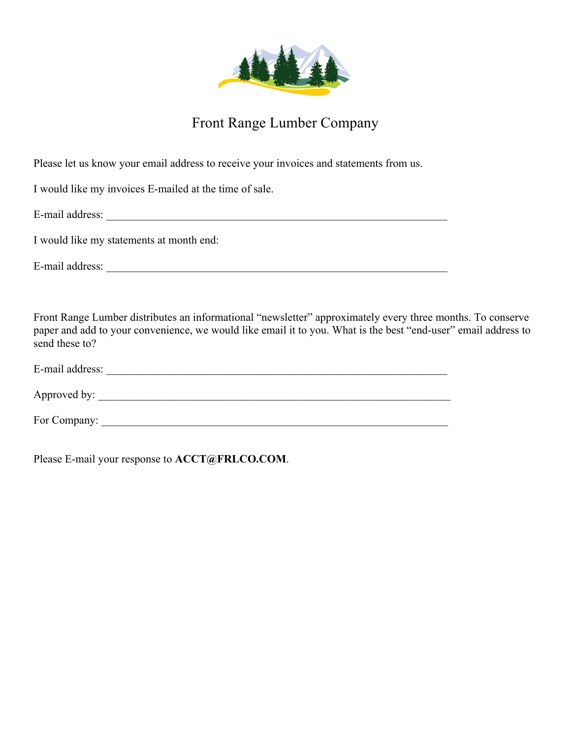

# Front Range Lumber Company

Please let us know your email address to receive your invoices and statements from us.

I would like my invoices E-mailed at the time of sale.

E-mail address:

I would like my statements at month end:

E-mail address: \_\_\_\_\_\_\_\_\_\_\_\_\_\_\_\_\_\_\_\_\_\_\_\_\_\_\_\_\_\_\_\_\_\_\_\_\_\_\_\_\_\_\_\_\_\_\_\_\_\_\_\_\_\_\_\_\_\_\_\_\_

Front Range Lumber distributes an informational "newsletter" approximately every three months. To conserve paper and add to your convenience, we would like email it to you. What is the best "end-user" email address to send these to?

| E-mail address: |  |  |  |
|-----------------|--|--|--|
|                 |  |  |  |
| Approved by:    |  |  |  |

For Company: \_\_\_\_\_\_\_\_\_\_\_\_\_\_\_\_\_\_\_\_\_\_\_\_\_\_\_\_\_\_\_\_\_\_\_\_\_\_\_\_\_\_\_\_\_\_\_\_\_\_\_\_\_\_\_\_\_\_\_\_\_\_

Please E-mail your response to **ACCT@FRLCO.COM**.